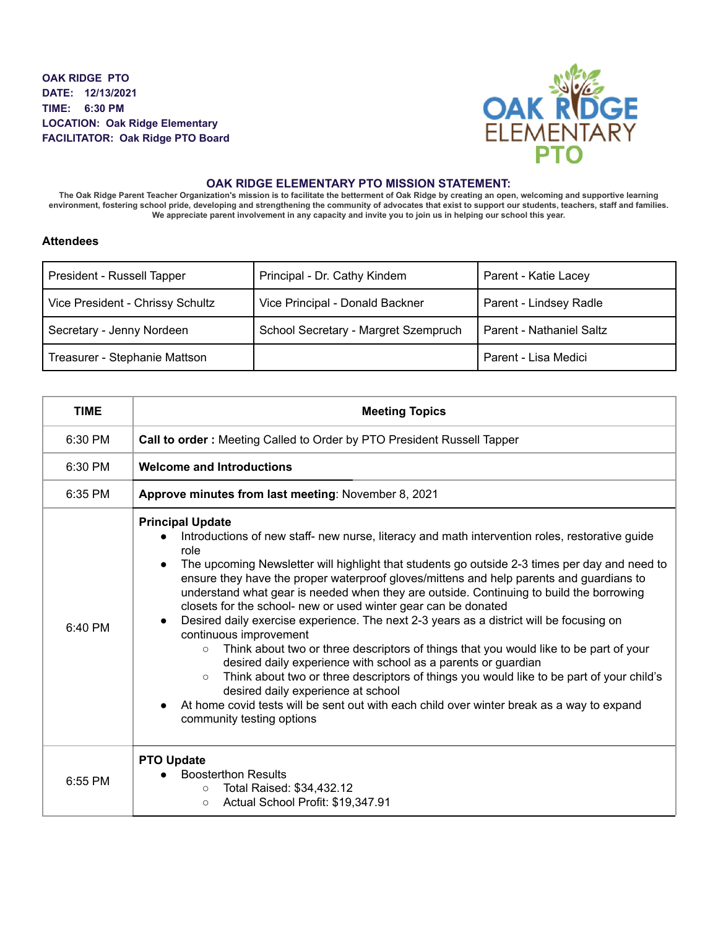**OAK RIDGE PTO DATE: 12/13/2021 TIME: 6:30 PM LOCATION: Oak Ridge Elementary FACILITATOR: Oak Ridge PTO Board**



## **OAK RIDGE ELEMENTARY PTO MISSION STATEMENT:**

The Oak Ridge Parent Teacher Organization's mission is to facilitate the betterment of Oak Ridge by creating an open, welcoming and supportive learning environment, fostering school pride, developing and strengthening the community of advocates that exist to support our students, teachers, staff and families. We appreciate parent involvement in any capacity and invite you to join us in helping our school this year.

## **Attendees**

| President - Russell Tapper       | Principal - Dr. Cathy Kindem         | Parent - Katie Lacey     |
|----------------------------------|--------------------------------------|--------------------------|
| Vice President - Chrissy Schultz | Vice Principal - Donald Backner      | Parent - Lindsey Radle   |
| Secretary - Jenny Nordeen        | School Secretary - Margret Szempruch | Parent - Nathaniel Saltz |
| Treasurer - Stephanie Mattson    |                                      | Parent - Lisa Medici     |

| <b>TIME</b> | <b>Meeting Topics</b>                                                                                                                                                                                                                                                                                                                                                                                                                                                                                                                                                                                                                                                                                                                                                                                                                                                                                                                                                                                                                                                                 |
|-------------|---------------------------------------------------------------------------------------------------------------------------------------------------------------------------------------------------------------------------------------------------------------------------------------------------------------------------------------------------------------------------------------------------------------------------------------------------------------------------------------------------------------------------------------------------------------------------------------------------------------------------------------------------------------------------------------------------------------------------------------------------------------------------------------------------------------------------------------------------------------------------------------------------------------------------------------------------------------------------------------------------------------------------------------------------------------------------------------|
| 6:30 PM     | Call to order: Meeting Called to Order by PTO President Russell Tapper                                                                                                                                                                                                                                                                                                                                                                                                                                                                                                                                                                                                                                                                                                                                                                                                                                                                                                                                                                                                                |
| 6:30 PM     | <b>Welcome and Introductions</b>                                                                                                                                                                                                                                                                                                                                                                                                                                                                                                                                                                                                                                                                                                                                                                                                                                                                                                                                                                                                                                                      |
| 6:35 PM     | Approve minutes from last meeting: November 8, 2021                                                                                                                                                                                                                                                                                                                                                                                                                                                                                                                                                                                                                                                                                                                                                                                                                                                                                                                                                                                                                                   |
| $6:40$ PM   | <b>Principal Update</b><br>Introductions of new staff- new nurse, literacy and math intervention roles, restorative guide<br>role<br>The upcoming Newsletter will highlight that students go outside 2-3 times per day and need to<br>$\bullet$<br>ensure they have the proper waterproof gloves/mittens and help parents and guardians to<br>understand what gear is needed when they are outside. Continuing to build the borrowing<br>closets for the school- new or used winter gear can be donated<br>Desired daily exercise experience. The next 2-3 years as a district will be focusing on<br>$\bullet$<br>continuous improvement<br>Think about two or three descriptors of things that you would like to be part of your<br>$\circ$<br>desired daily experience with school as a parents or guardian<br>Think about two or three descriptors of things you would like to be part of your child's<br>$\circ$<br>desired daily experience at school<br>At home covid tests will be sent out with each child over winter break as a way to expand<br>community testing options |
| 6:55 PM     | <b>PTO Update</b><br><b>Boosterthon Results</b><br>Total Raised: \$34,432.12<br>$\circ$<br>Actual School Profit: \$19,347.91<br>$\circ$                                                                                                                                                                                                                                                                                                                                                                                                                                                                                                                                                                                                                                                                                                                                                                                                                                                                                                                                               |